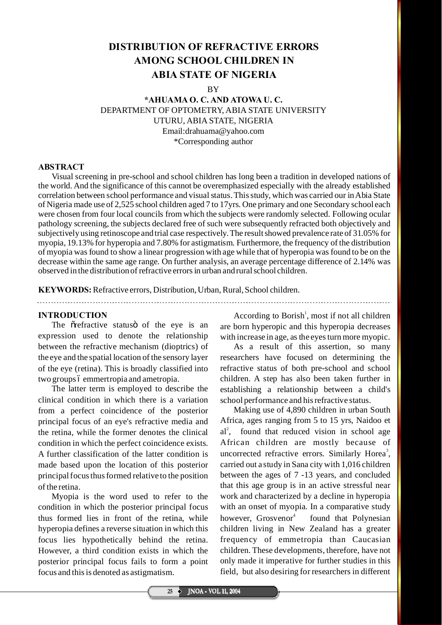# **DISTRIBUTION OF REFRACTIVE ERRORS AMONG SCHOOL CHILDREN IN ABIA STATE OF NIGERIA**

**BY** 

## DEPARTMENT OF OPTOMETRY, ABIA STATE UNIVERSITY UTURU, ABIA STATE, NIGERIA Email:drahuama@yahoo.com \*Corresponding author **\*AHUAMA O. C. AND ATOWA U. C.**

#### **ABSTRACT**

Visual screening in pre-school and school children has long been a tradition in developed nations of the world. And the significance of this cannot be overemphasized especially with the already established correlation between school performance and visual status. This study, which was carried our in Abia State of Nigeria made use of 2,525 school children aged 7 to 17yrs. One primary and one Secondary school each were chosen from four local councils from which the subjects were randomly selected. Following ocular pathology screening, the subjects declared free of such were subsequently refracted both objectively and subjectivelyusing retinoscope andtrial case respectively. The result showed prevalence rate of 31.05% for myopia, 19.13% for hyperopia and 7.80% for astigmatism. Furthermore, the frequency of the distribution of myopia was found to show a linear progression with age while that of hyperopia was found to be on the decrease within the same age range. On further analysis, an average percentage difference of 2.14% was observed in the distributionof refractive errors in urban andrural school children.

**KEYWORDS:** Refractive errors, Distribution,Urban, Rural, School children.

#### **INTRODUCTION**

The orefractive status of the eye is an expression used to denote the relationship between the refractive mechanism (dioptrics) of the eye and the spatial location of the sensory layer of the eye (retina). This is broadly classified into two groups ó emmertropia and ametropia.

The latter term is employed to describe the clinical condition in which there is a variation from a perfect coincidence of the posterior principal focus of an eye's refractive media and the retina, while the former denotes the clinical condition in which the perfect coincidence exists. A further classification of the latter condition is made based upon the location of this posterior principal focus thus formed relative to the position of the retina.

Myopia is the word used to refer to the condition in which the posterior principal focus thus formed lies in front of the retina, while hyperopia defines a reverse situation in which this focus lies hypothetically behind the retina. However, a third condition exists in which the posterior principal focus fails to form a point focus and this is denoted as astigmatism.

According to Borish<sup>1</sup>, most if not all children are born hyperopic and this hyperopia decreases with increase in age, as the eyes turn more myopic.

As a result of this assertion, so many researchers have focused on determining the refractive status of both pre-school and school children. A step has also been taken further in establishing a relationship between a child's school performance and his refractive status.

Making use of 4,890 children in urban South Africa, ages ranging from 5 to 15 yrs, Naidoo et found that reduced vision in school age African children are mostly because of uncorrected refractive errors. Similarly Horea<sup>3</sup>, carried out a study in Sana city with 1,016 children between the ages of 7 -13 years, and concluded that this age group is in an active stressful near work and characterized by a decline in hyperopia with an onset of myopia. In a comparative study found that Polynesian children living in New Zealand has a greater frequency of emmetropia than Caucasian children. These developments, therefore, have not only made it imperative for further studies in this field, but also desiring for researchers in different  $al^2$ . however.  $G$ rosvenor $4$ 

**25 JNOA - VOL 11, 2004**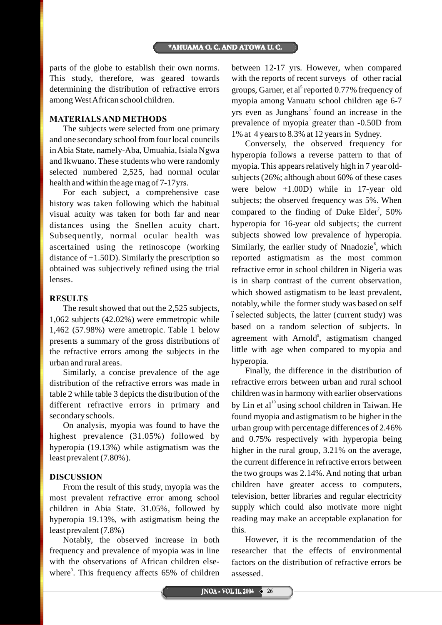parts of the globe to establish their own norms. This study, therefore, was geared towards determining the distribution of refractive errors among WestAfrican school children.

#### **MATERIALS AND METHODS**

The subjects were selected from one primary and one secondary school from four local councils in Abia State, namely-Aba, Umuahia, Isiala Ngwa and Ikwuano. These students who were randomly selected numbered 2,525, had normal ocular health and within the age rnag of 7-17yrs.

For each subject, a comprehensive case history was taken following which the habitual visual acuity was taken for both far and near distances using the Snellen acuity chart. Subsequently, normal ocular health was ascertained using the retinoscope (working distance of  $+1.50D$ ). Similarly the prescription so obtained was subjectively refined using the trial lenses.

#### **RESULTS**

The result showed that out the 2,525 subjects, 1,062 subjects (42.02%) were emmetropic while 1,462 (57.98%) were ametropic. Table 1 below presents a summary of the gross distributions of the refractive errors among the subjects in the urban and rural areas.

Similarly, a concise prevalence of the age distribution of the refractive errors was made in table 2 while table 3 depicts the distribution of the different refractive errors in primary and secondaryschools.

On analysis, myopia was found to have the highest prevalence (31.05%) followed by hyperopia (19.13%) while astigmatism was the least prevalent (7.80%).

#### **DISCUSSION**

From the result of this study, myopia was the most prevalent refractive error among school children in Abia State. 31.05%, followed by hyperopia 19.13%, with astigmatism being the least prevalent (7.8%)

Notably, the observed increase in both frequency and prevalence of myopia was in line with the observations of African children elsewhere<sup>3</sup>. This frequency affects 65% of children

between 12-17 yrs. However, when compared with the reports of recent surveys of other racial groups, Garner, et al<sup>5</sup> reported 0.77% frequency of myopia among Vanuatu school children age 6-7 yrs even as Junghans<sup>6</sup> found an increase in the prevalence of myopia greater than -0.50D from 1% at 4 years to 8.3% at 12 years in Sydney.

Conversely, the observed frequency for hyperopia follows a reverse pattern to that of myopia. This appears relatively high in 7 year oldsubjects (26%; although about 60% of these cases were below +1.00D) while in 17-year old subjects; the observed frequency was 5%. When compared to the finding of Duke Elder<sup>7</sup>,  $50\%$ hyperopia for 16-year old subjects; the current subjects showed low prevalence of hyperopia. Similarly, the earlier study of Nnadozie<sup>8</sup>, which reported astigmatism as the most common refractive error in school children in Nigeria was is in sharp contrast of the current observation, which showed astigmatism to be least prevalent, notably, while the former study was based on self óselected subjects, the latter (current study) was based on a random selection of subjects. In agreement with Arnold<sup>9</sup>, astigmatism changed little with age when compared to myopia and hyperopia.

Finally, the difference in the distribution of refractive errors between urban and rural school children was in harmony with earlier observations by Lin et al<sup>10</sup> using school children in Taiwan. He found myopia and astigmatism to be higher in the urban group with percentage differences of 2.46% and 0.75% respectively with hyperopia being higher in the rural group, 3.21% on the average, the current difference in refractive errors between the two groups was 2.14%. And noting that urban children have greater access to computers, television, better libraries and regular electricity supply which could also motivate more night reading may make an acceptable explanation for this.

However, it is the recommendation of the researcher that the effects of environmental factors on the distribution of refractive errors be assessed.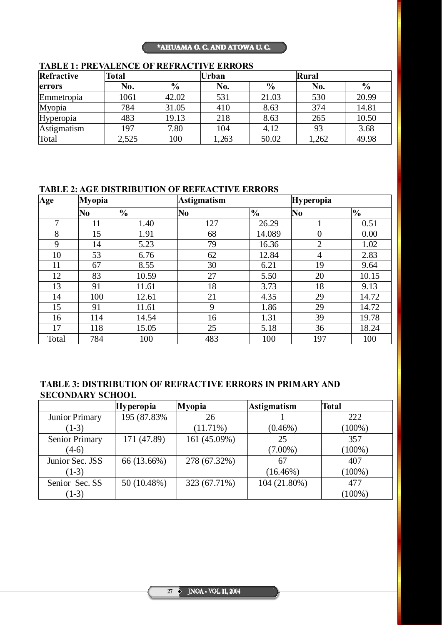#### \*AHUAMA O. C. AND ATOWA U. C.

| Refractive  | <b>Total</b> |               | Urban |               | <b>Rural</b> |       |
|-------------|--------------|---------------|-------|---------------|--------------|-------|
| errors      | No.          | $\frac{0}{0}$ | No.   | $\frac{6}{9}$ | No.          | $\%$  |
| Emmetropia  | 1061         | 42.02         | 531   | 21.03         | 530          | 20.99 |
| Myopia      | 784          | 31.05         | 410   | 8.63          | 374          | 14.81 |
| Hyperopia   | 483          | 19.13         | 218   | 8.63          | 265          | 10.50 |
| Astigmatism | 197          | 7.80          | 104   | 4.12          | 93           | 3.68  |
| Total       | 2,525        | 100           | 1,263 | 50.02         | 1,262        | 49.98 |

## **TABLE 1: PREVALENCE OF REFRACTIVE ERRORS**

### **TABLE 2: AGE DISTRIBUTION OF REFEACTIVE ERRORS**

| Age   | <b>Myopia</b>  |               | <b>Astigmatism</b> |        | <b>Hyperopia</b> |               |
|-------|----------------|---------------|--------------------|--------|------------------|---------------|
|       | N <sub>0</sub> | $\frac{0}{0}$ | N <sub>0</sub>     | $\%$   | N <sub>0</sub>   | $\frac{6}{6}$ |
| 7     | 11             | 1.40          | 127                | 26.29  |                  | 0.51          |
| 8     | 15             | 1.91          | 68                 | 14.089 | $\theta$         | 0.00          |
| 9     | 14             | 5.23          | 79                 | 16.36  | $\overline{2}$   | 1.02          |
| 10    | 53             | 6.76          | 62                 | 12.84  | $\overline{4}$   | 2.83          |
| 11    | 67             | 8.55          | 30                 | 6.21   | 19               | 9.64          |
| 12    | 83             | 10.59         | 27                 | 5.50   | 20               | 10.15         |
| 13    | 91             | 11.61         | 18                 | 3.73   | 18               | 9.13          |
| 14    | 100            | 12.61         | 21                 | 4.35   | 29               | 14.72         |
| 15    | 91             | 11.61         | 9                  | 1.86   | 29               | 14.72         |
| 16    | 114            | 14.54         | 16                 | 1.31   | 39               | 19.78         |
| 17    | 118            | 15.05         | 25                 | 5.18   | 36               | 18.24         |
| Total | 784            | 100           | 483                | 100    | 197              | 100           |

## **TABLE 3: DISTRIBUTION OF REFRACTIVE ERRORS IN PRIMARY AND SECONDARY SCHOOL**

|                       | <b>Hyperopia</b> | <b>Myopia</b> | <b>Astigmatism</b> | Total     |
|-----------------------|------------------|---------------|--------------------|-----------|
| Junior Primary        | 195 (87.83%)     | 26            |                    | 222       |
| $(1-3)$               |                  | $(11.71\%)$   | $(0.46\%)$         | $(100\%)$ |
| <b>Senior Primary</b> | 171 (47.89)      | 161 (45.09%)  | 25                 | 357       |
| $(4-6)$               |                  |               | $(7.00\%)$         | $(100\%)$ |
| Junior Sec. JSS       | 66 (13.66%)      | 278 (67.32%)  | 67                 | 407       |
| $(1-3)$               |                  |               | $(16.46\%)$        | $(100\%)$ |
| Senior Sec. SS        | 50 (10.48%)      | 323 (67.71%)  | 104 (21.80%)       | 477       |
| $(1-3)$               |                  |               |                    | $(100\%)$ |